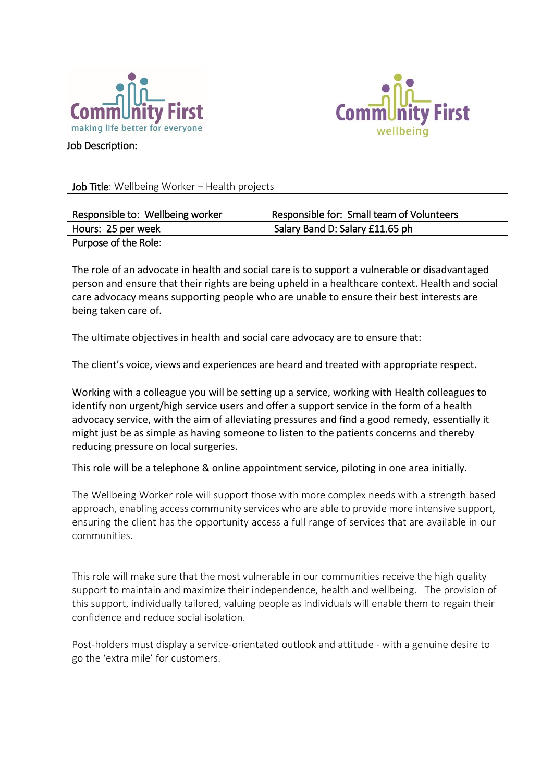

confidence and reduce social isolation.



Job Description:

| Job Title: Wellbeing Worker - Health projects                                                                                                                                                                                                                                                                                                                                                                                     |                                                                                                                                                                                                                                                                                                     |  |  |  |
|-----------------------------------------------------------------------------------------------------------------------------------------------------------------------------------------------------------------------------------------------------------------------------------------------------------------------------------------------------------------------------------------------------------------------------------|-----------------------------------------------------------------------------------------------------------------------------------------------------------------------------------------------------------------------------------------------------------------------------------------------------|--|--|--|
| Responsible to: Wellbeing worker                                                                                                                                                                                                                                                                                                                                                                                                  | Responsible for: Small team of Volunteers                                                                                                                                                                                                                                                           |  |  |  |
| Hours: 25 per week                                                                                                                                                                                                                                                                                                                                                                                                                | Salary Band D: Salary £11.65 ph                                                                                                                                                                                                                                                                     |  |  |  |
| Purpose of the Role:                                                                                                                                                                                                                                                                                                                                                                                                              |                                                                                                                                                                                                                                                                                                     |  |  |  |
| being taken care of.                                                                                                                                                                                                                                                                                                                                                                                                              | The role of an advocate in health and social care is to support a vulnerable or disadvantaged<br>person and ensure that their rights are being upheld in a healthcare context. Health and social<br>care advocacy means supporting people who are unable to ensure their best interests are         |  |  |  |
| The ultimate objectives in health and social care advocacy are to ensure that:                                                                                                                                                                                                                                                                                                                                                    |                                                                                                                                                                                                                                                                                                     |  |  |  |
|                                                                                                                                                                                                                                                                                                                                                                                                                                   | The client's voice, views and experiences are heard and treated with appropriate respect.                                                                                                                                                                                                           |  |  |  |
| Working with a colleague you will be setting up a service, working with Health colleagues to<br>identify non urgent/high service users and offer a support service in the form of a health<br>advocacy service, with the aim of alleviating pressures and find a good remedy, essentially it<br>might just be as simple as having someone to listen to the patients concerns and thereby<br>reducing pressure on local surgeries. |                                                                                                                                                                                                                                                                                                     |  |  |  |
|                                                                                                                                                                                                                                                                                                                                                                                                                                   | This role will be a telephone & online appointment service, piloting in one area initially.                                                                                                                                                                                                         |  |  |  |
| communities.                                                                                                                                                                                                                                                                                                                                                                                                                      | The Wellbeing Worker role will support those with more complex needs with a strength based<br>approach, enabling access community services who are able to provide more intensive support,<br>ensuring the client has the opportunity access a full range of services that are available in our     |  |  |  |
|                                                                                                                                                                                                                                                                                                                                                                                                                                   | This role will make sure that the most vulnerable in our communities receive the high quality<br>support to maintain and maximize their independence, health and wellbeing. The provision of<br>this support, individually tailored, valuing people as individuals will enable them to regain their |  |  |  |

Post-holders must display a service-orientated outlook and attitude - with a genuine desire to go the 'extra mile' for customers.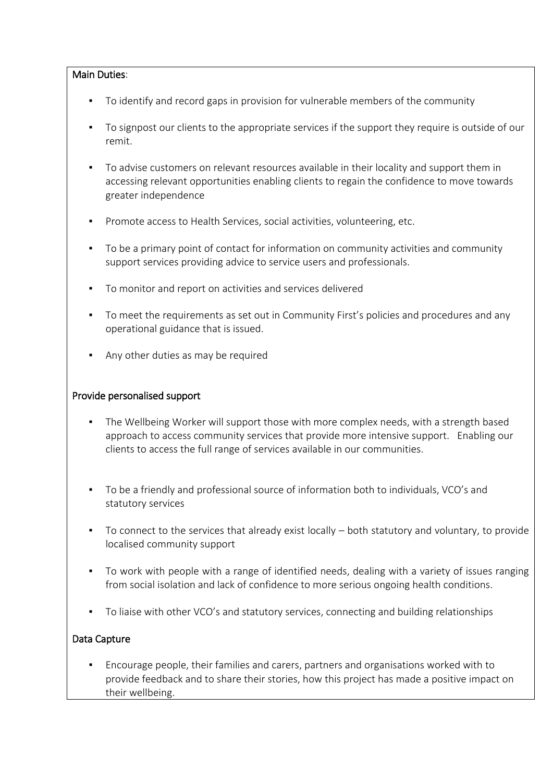## Main Duties:

- To identify and record gaps in provision for vulnerable members of the community
- To signpost our clients to the appropriate services if the support they require is outside of our remit.
- To advise customers on relevant resources available in their locality and support them in accessing relevant opportunities enabling clients to regain the confidence to move towards greater independence
- **Promote access to Health Services, social activities, volunteering, etc.**
- To be a primary point of contact for information on community activities and community support services providing advice to service users and professionals.
- To monitor and report on activities and services delivered
- To meet the requirements as set out in Community First's policies and procedures and any operational guidance that is issued.
- Any other duties as may be required

## Provide personalised support

- The Wellbeing Worker will support those with more complex needs, with a strength based approach to access community services that provide more intensive support. Enabling our clients to access the full range of services available in our communities.
- To be a friendly and professional source of information both to individuals, VCO's and statutory services
- To connect to the services that already exist locally both statutory and voluntary, to provide localised community support
- To work with people with a range of identified needs, dealing with a variety of issues ranging from social isolation and lack of confidence to more serious ongoing health conditions.
- To liaise with other VCO's and statutory services, connecting and building relationships

## Data Capture

▪ Encourage people, their families and carers, partners and organisations worked with to provide feedback and to share their stories, how this project has made a positive impact on their wellbeing.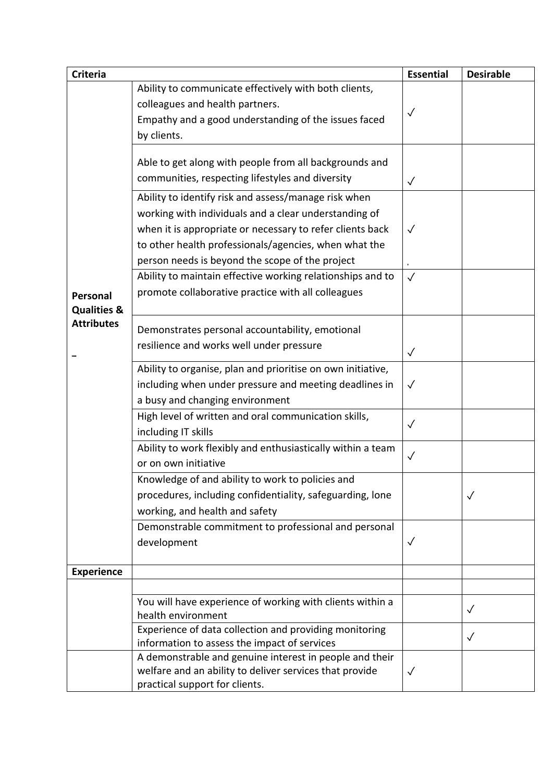| <b>Criteria</b>                                         |                                                                                                                                                                                                                                                                                        | <b>Essential</b> | <b>Desirable</b> |
|---------------------------------------------------------|----------------------------------------------------------------------------------------------------------------------------------------------------------------------------------------------------------------------------------------------------------------------------------------|------------------|------------------|
| Personal<br><b>Qualities &amp;</b><br><b>Attributes</b> | Ability to communicate effectively with both clients,<br>colleagues and health partners.<br>Empathy and a good understanding of the issues faced<br>by clients.                                                                                                                        | ✓                |                  |
|                                                         | Able to get along with people from all backgrounds and<br>communities, respecting lifestyles and diversity                                                                                                                                                                             | $\checkmark$     |                  |
|                                                         | Ability to identify risk and assess/manage risk when<br>working with individuals and a clear understanding of<br>when it is appropriate or necessary to refer clients back<br>to other health professionals/agencies, when what the<br>person needs is beyond the scope of the project | $\sqrt{}$        |                  |
|                                                         | Ability to maintain effective working relationships and to<br>promote collaborative practice with all colleagues                                                                                                                                                                       | $\checkmark$     |                  |
|                                                         | Demonstrates personal accountability, emotional<br>resilience and works well under pressure                                                                                                                                                                                            | $\checkmark$     |                  |
|                                                         | Ability to organise, plan and prioritise on own initiative,<br>including when under pressure and meeting deadlines in<br>a busy and changing environment                                                                                                                               | $\checkmark$     |                  |
|                                                         | High level of written and oral communication skills,<br>including IT skills                                                                                                                                                                                                            | $\checkmark$     |                  |
|                                                         | Ability to work flexibly and enthusiastically within a team<br>or on own initiative                                                                                                                                                                                                    | $\checkmark$     |                  |
|                                                         | Knowledge of and ability to work to policies and<br>procedures, including confidentiality, safeguarding, lone<br>working, and health and safety                                                                                                                                        |                  | $\sqrt{}$        |
|                                                         | Demonstrable commitment to professional and personal<br>development                                                                                                                                                                                                                    | $\sqrt{}$        |                  |
| <b>Experience</b>                                       |                                                                                                                                                                                                                                                                                        |                  |                  |
|                                                         |                                                                                                                                                                                                                                                                                        |                  |                  |
|                                                         | You will have experience of working with clients within a<br>health environment                                                                                                                                                                                                        |                  | $\checkmark$     |
|                                                         | Experience of data collection and providing monitoring<br>information to assess the impact of services                                                                                                                                                                                 |                  | $\checkmark$     |
|                                                         | A demonstrable and genuine interest in people and their<br>welfare and an ability to deliver services that provide<br>practical support for clients.                                                                                                                                   | $\sqrt{}$        |                  |